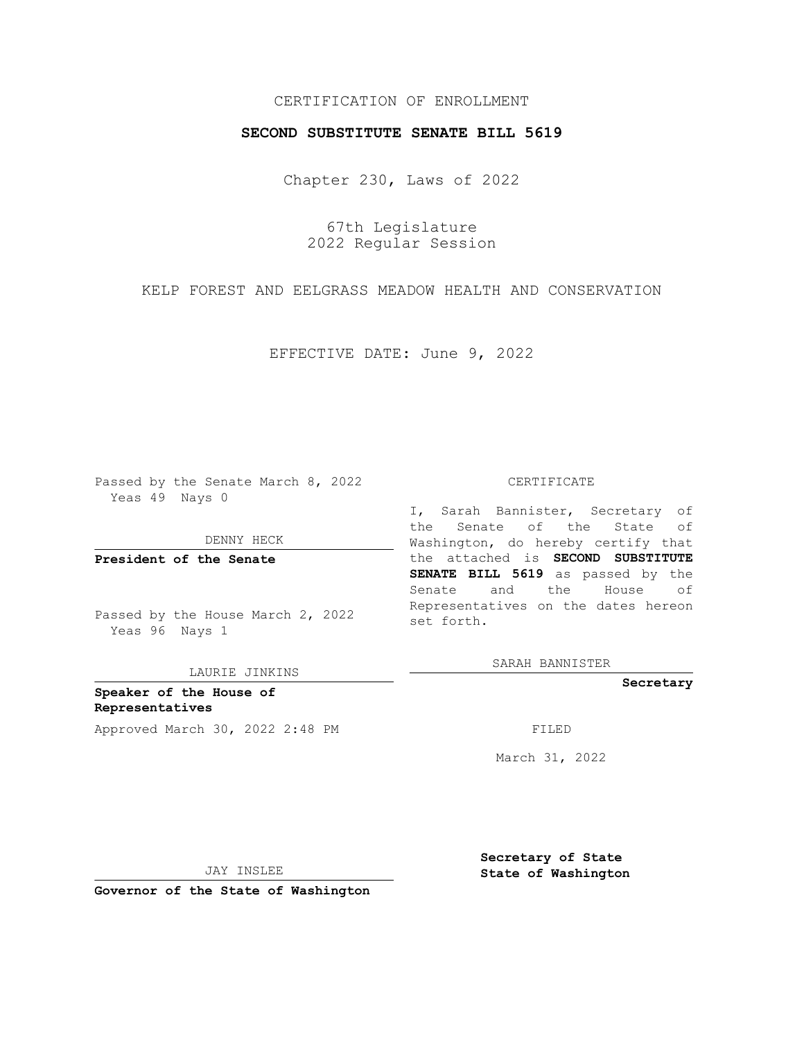## CERTIFICATION OF ENROLLMENT

## **SECOND SUBSTITUTE SENATE BILL 5619**

Chapter 230, Laws of 2022

67th Legislature 2022 Regular Session

KELP FOREST AND EELGRASS MEADOW HEALTH AND CONSERVATION

EFFECTIVE DATE: June 9, 2022

Passed by the Senate March 8, 2022 Yeas 49 Nays 0

DENNY HECK

**President of the Senate**

Passed by the House March 2, 2022 Yeas 96 Nays 1

LAURIE JINKINS

**Speaker of the House of Representatives** Approved March 30, 2022 2:48 PM

#### CERTIFICATE

I, Sarah Bannister, Secretary of the Senate of the State of Washington, do hereby certify that the attached is **SECOND SUBSTITUTE SENATE BILL 5619** as passed by the Senate and the House of Representatives on the dates hereon set forth.

SARAH BANNISTER

**Secretary**

March 31, 2022

**Secretary of State**

JAY INSLEE

 **State of Washington**

**Governor of the State of Washington**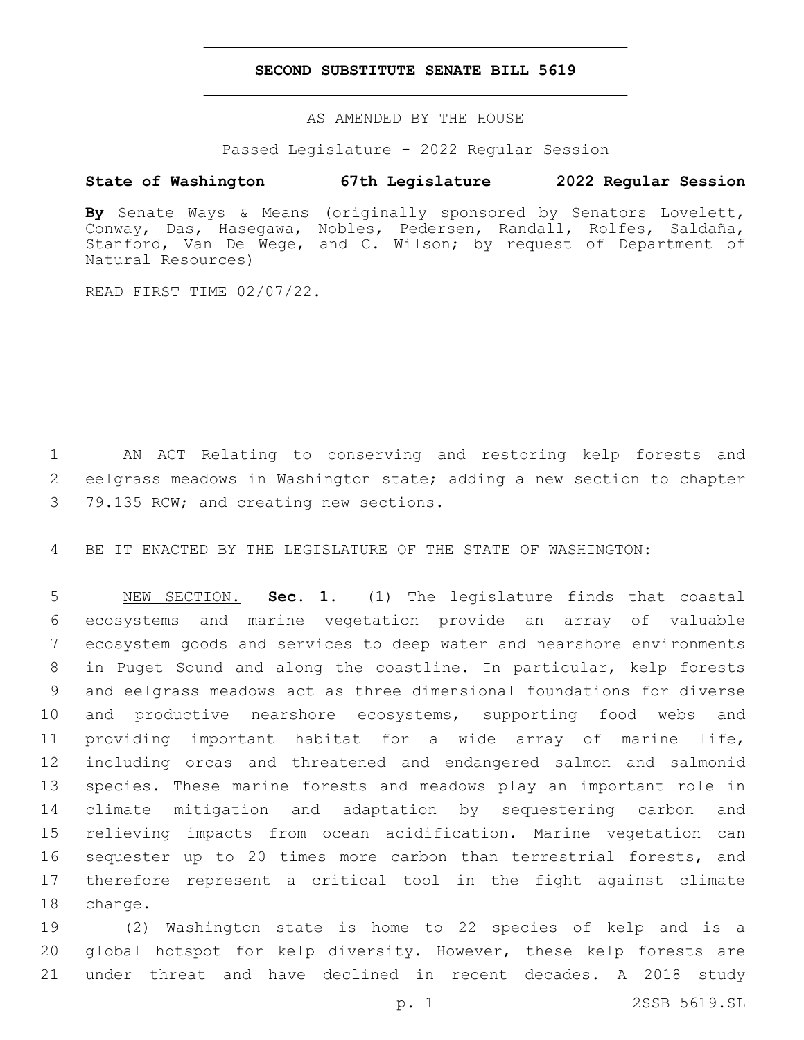## **SECOND SUBSTITUTE SENATE BILL 5619**

AS AMENDED BY THE HOUSE

Passed Legislature - 2022 Regular Session

# **State of Washington 67th Legislature 2022 Regular Session**

**By** Senate Ways & Means (originally sponsored by Senators Lovelett, Conway, Das, Hasegawa, Nobles, Pedersen, Randall, Rolfes, Saldaña, Stanford, Van De Wege, and C. Wilson; by request of Department of Natural Resources)

READ FIRST TIME 02/07/22.

 AN ACT Relating to conserving and restoring kelp forests and eelgrass meadows in Washington state; adding a new section to chapter 3 79.135 RCW; and creating new sections.

BE IT ENACTED BY THE LEGISLATURE OF THE STATE OF WASHINGTON:

 NEW SECTION. **Sec. 1.** (1) The legislature finds that coastal ecosystems and marine vegetation provide an array of valuable ecosystem goods and services to deep water and nearshore environments in Puget Sound and along the coastline. In particular, kelp forests and eelgrass meadows act as three dimensional foundations for diverse and productive nearshore ecosystems, supporting food webs and providing important habitat for a wide array of marine life, including orcas and threatened and endangered salmon and salmonid species. These marine forests and meadows play an important role in climate mitigation and adaptation by sequestering carbon and relieving impacts from ocean acidification. Marine vegetation can 16 sequester up to 20 times more carbon than terrestrial forests, and therefore represent a critical tool in the fight against climate change.

 (2) Washington state is home to 22 species of kelp and is a global hotspot for kelp diversity. However, these kelp forests are under threat and have declined in recent decades. A 2018 study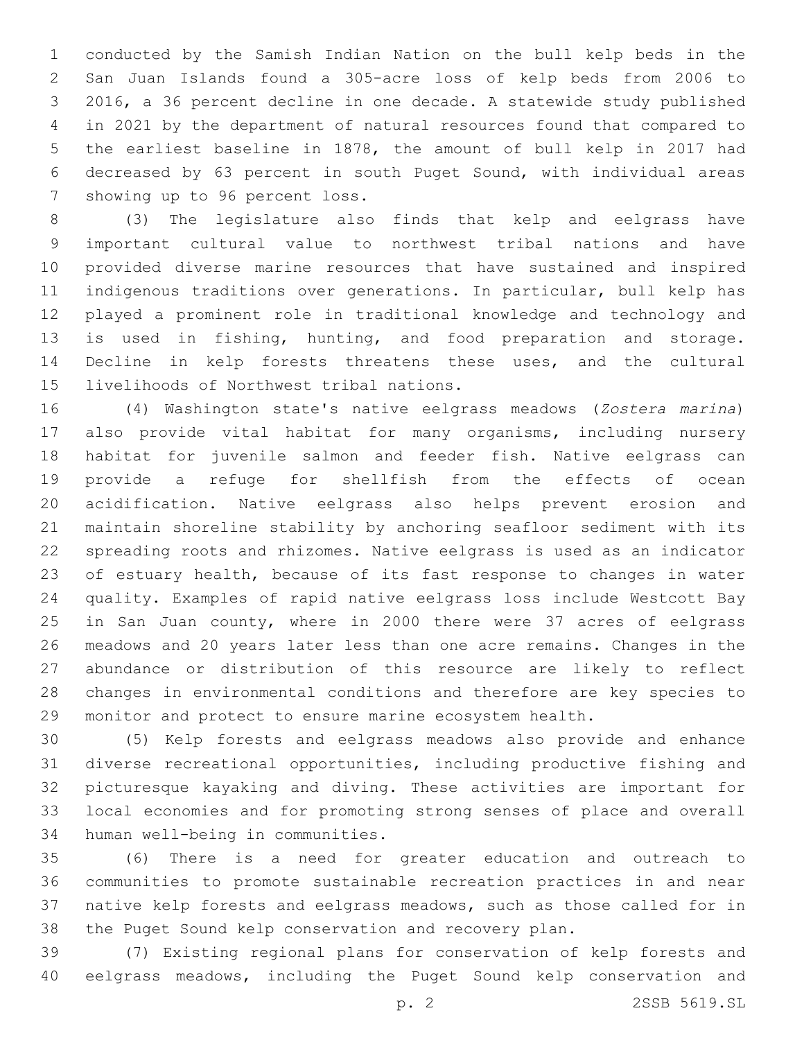conducted by the Samish Indian Nation on the bull kelp beds in the San Juan Islands found a 305-acre loss of kelp beds from 2006 to 2016, a 36 percent decline in one decade. A statewide study published in 2021 by the department of natural resources found that compared to the earliest baseline in 1878, the amount of bull kelp in 2017 had decreased by 63 percent in south Puget Sound, with individual areas 7 showing up to 96 percent loss.

 (3) The legislature also finds that kelp and eelgrass have important cultural value to northwest tribal nations and have provided diverse marine resources that have sustained and inspired indigenous traditions over generations. In particular, bull kelp has played a prominent role in traditional knowledge and technology and is used in fishing, hunting, and food preparation and storage. Decline in kelp forests threatens these uses, and the cultural 15 livelihoods of Northwest tribal nations.

 (4) Washington state's native eelgrass meadows (*Zostera marina*) also provide vital habitat for many organisms, including nursery habitat for juvenile salmon and feeder fish. Native eelgrass can provide a refuge for shellfish from the effects of ocean acidification. Native eelgrass also helps prevent erosion and maintain shoreline stability by anchoring seafloor sediment with its spreading roots and rhizomes. Native eelgrass is used as an indicator of estuary health, because of its fast response to changes in water quality. Examples of rapid native eelgrass loss include Westcott Bay 25 in San Juan county, where in 2000 there were 37 acres of eelgrass meadows and 20 years later less than one acre remains. Changes in the abundance or distribution of this resource are likely to reflect changes in environmental conditions and therefore are key species to monitor and protect to ensure marine ecosystem health.

 (5) Kelp forests and eelgrass meadows also provide and enhance diverse recreational opportunities, including productive fishing and picturesque kayaking and diving. These activities are important for local economies and for promoting strong senses of place and overall 34 human well-being in communities.

 (6) There is a need for greater education and outreach to communities to promote sustainable recreation practices in and near native kelp forests and eelgrass meadows, such as those called for in the Puget Sound kelp conservation and recovery plan.

 (7) Existing regional plans for conservation of kelp forests and eelgrass meadows, including the Puget Sound kelp conservation and

p. 2 2SSB 5619.SL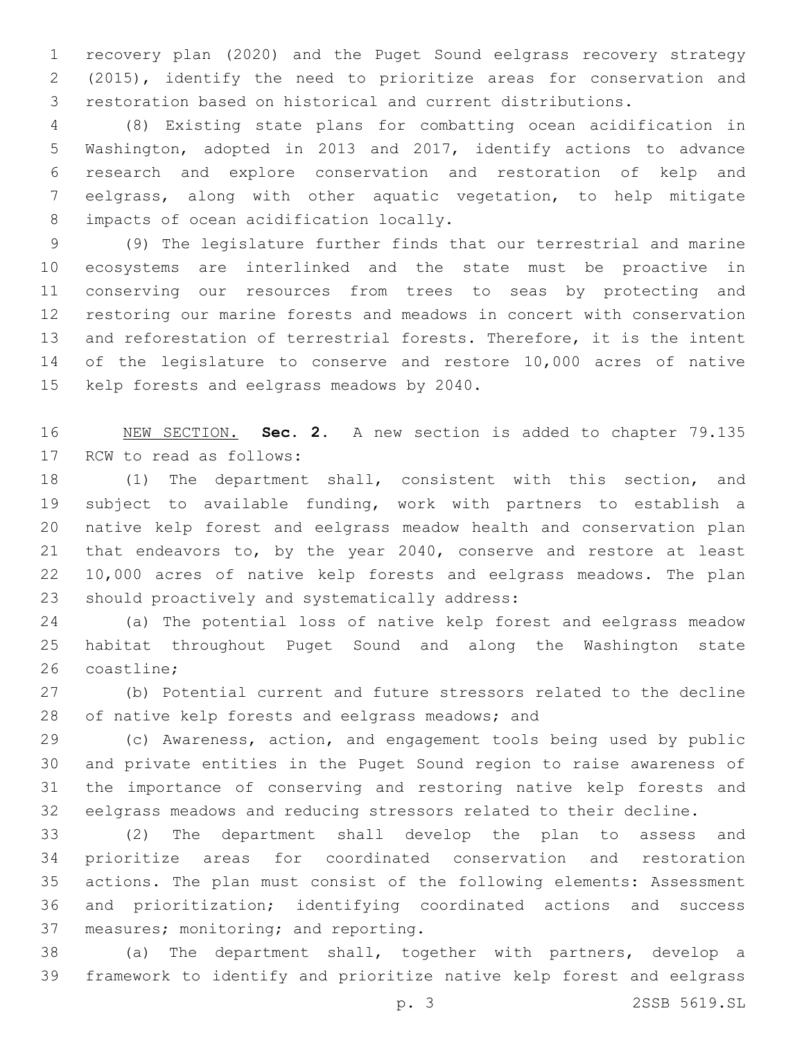recovery plan (2020) and the Puget Sound eelgrass recovery strategy (2015), identify the need to prioritize areas for conservation and restoration based on historical and current distributions.

 (8) Existing state plans for combatting ocean acidification in Washington, adopted in 2013 and 2017, identify actions to advance research and explore conservation and restoration of kelp and eelgrass, along with other aquatic vegetation, to help mitigate 8 impacts of ocean acidification locally.

 (9) The legislature further finds that our terrestrial and marine ecosystems are interlinked and the state must be proactive in conserving our resources from trees to seas by protecting and restoring our marine forests and meadows in concert with conservation and reforestation of terrestrial forests. Therefore, it is the intent of the legislature to conserve and restore 10,000 acres of native 15 kelp forests and eelgrass meadows by 2040.

 NEW SECTION. **Sec. 2.** A new section is added to chapter 79.135 17 RCW to read as follows:

 (1) The department shall, consistent with this section, and subject to available funding, work with partners to establish a native kelp forest and eelgrass meadow health and conservation plan that endeavors to, by the year 2040, conserve and restore at least 10,000 acres of native kelp forests and eelgrass meadows. The plan 23 should proactively and systematically address:

 (a) The potential loss of native kelp forest and eelgrass meadow habitat throughout Puget Sound and along the Washington state 26 coastline:

 (b) Potential current and future stressors related to the decline 28 of native kelp forests and eelgrass meadows; and

 (c) Awareness, action, and engagement tools being used by public and private entities in the Puget Sound region to raise awareness of the importance of conserving and restoring native kelp forests and eelgrass meadows and reducing stressors related to their decline.

 (2) The department shall develop the plan to assess and prioritize areas for coordinated conservation and restoration actions. The plan must consist of the following elements: Assessment and prioritization; identifying coordinated actions and success 37 measures; monitoring; and reporting.

 (a) The department shall, together with partners, develop a framework to identify and prioritize native kelp forest and eelgrass

p. 3 2SSB 5619.SL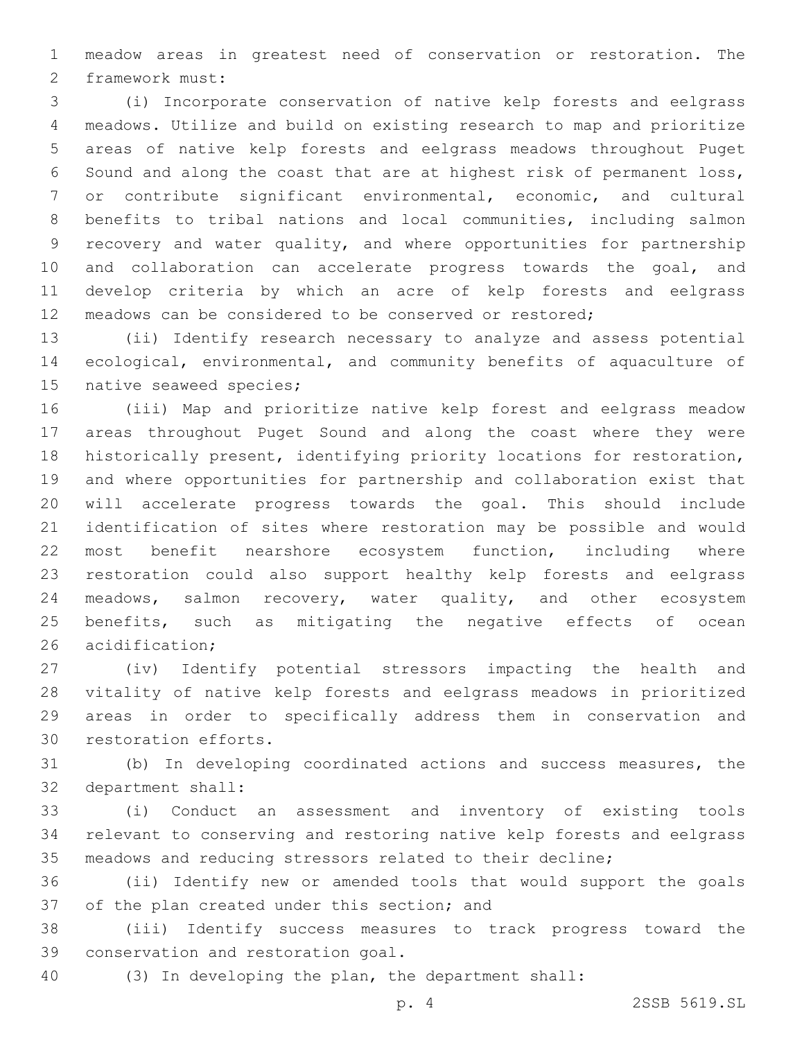meadow areas in greatest need of conservation or restoration. The 2 framework must:

 (i) Incorporate conservation of native kelp forests and eelgrass meadows. Utilize and build on existing research to map and prioritize areas of native kelp forests and eelgrass meadows throughout Puget Sound and along the coast that are at highest risk of permanent loss, or contribute significant environmental, economic, and cultural benefits to tribal nations and local communities, including salmon recovery and water quality, and where opportunities for partnership and collaboration can accelerate progress towards the goal, and develop criteria by which an acre of kelp forests and eelgrass meadows can be considered to be conserved or restored;

 (ii) Identify research necessary to analyze and assess potential ecological, environmental, and community benefits of aquaculture of 15 native seaweed species;

 (iii) Map and prioritize native kelp forest and eelgrass meadow areas throughout Puget Sound and along the coast where they were historically present, identifying priority locations for restoration, and where opportunities for partnership and collaboration exist that will accelerate progress towards the goal. This should include identification of sites where restoration may be possible and would most benefit nearshore ecosystem function, including where restoration could also support healthy kelp forests and eelgrass meadows, salmon recovery, water quality, and other ecosystem benefits, such as mitigating the negative effects of ocean 26 acidification;

 (iv) Identify potential stressors impacting the health and vitality of native kelp forests and eelgrass meadows in prioritized areas in order to specifically address them in conservation and 30 restoration efforts.

 (b) In developing coordinated actions and success measures, the 32 department shall:

 (i) Conduct an assessment and inventory of existing tools relevant to conserving and restoring native kelp forests and eelgrass meadows and reducing stressors related to their decline;

 (ii) Identify new or amended tools that would support the goals 37 of the plan created under this section; and

 (iii) Identify success measures to track progress toward the 39 conservation and restoration goal.

(3) In developing the plan, the department shall:

p. 4 2SSB 5619.SL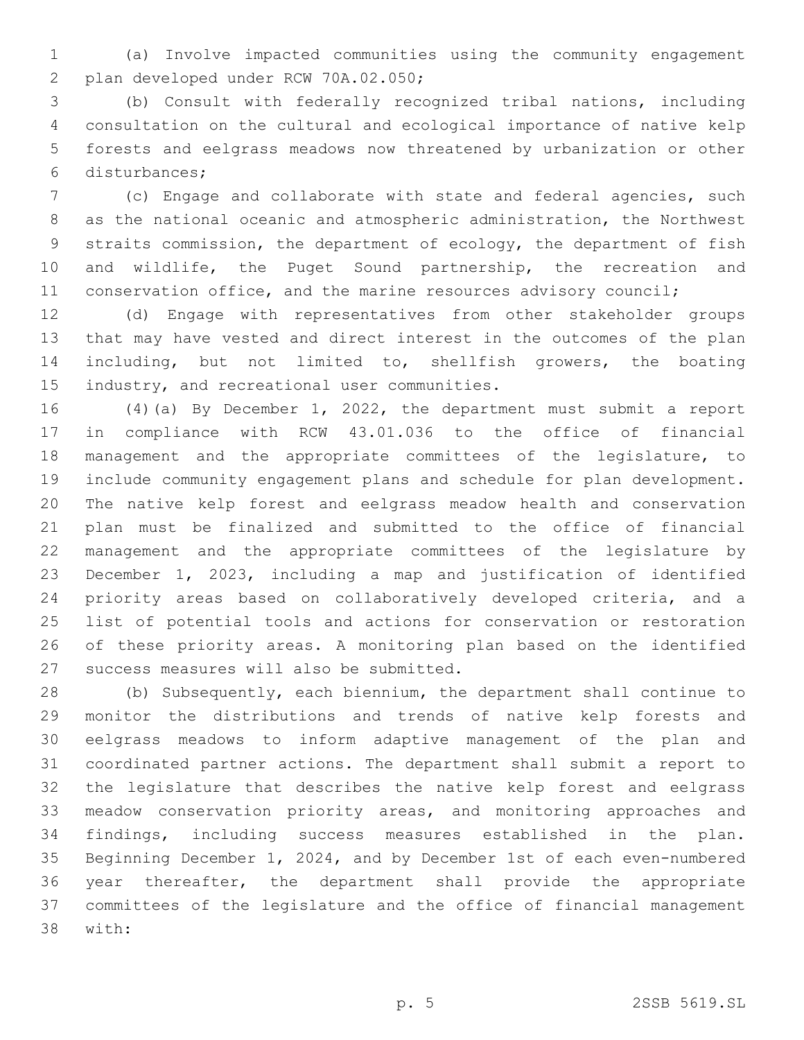(a) Involve impacted communities using the community engagement 2 plan developed under RCW 70A.02.050;

 (b) Consult with federally recognized tribal nations, including consultation on the cultural and ecological importance of native kelp forests and eelgrass meadows now threatened by urbanization or other disturbances;6

 (c) Engage and collaborate with state and federal agencies, such as the national oceanic and atmospheric administration, the Northwest straits commission, the department of ecology, the department of fish and wildlife, the Puget Sound partnership, the recreation and 11 conservation office, and the marine resources advisory council;

 (d) Engage with representatives from other stakeholder groups that may have vested and direct interest in the outcomes of the plan including, but not limited to, shellfish growers, the boating 15 industry, and recreational user communities.

 (4)(a) By December 1, 2022, the department must submit a report in compliance with RCW 43.01.036 to the office of financial management and the appropriate committees of the legislature, to include community engagement plans and schedule for plan development. The native kelp forest and eelgrass meadow health and conservation plan must be finalized and submitted to the office of financial management and the appropriate committees of the legislature by December 1, 2023, including a map and justification of identified priority areas based on collaboratively developed criteria, and a list of potential tools and actions for conservation or restoration of these priority areas. A monitoring plan based on the identified 27 success measures will also be submitted.

 (b) Subsequently, each biennium, the department shall continue to monitor the distributions and trends of native kelp forests and eelgrass meadows to inform adaptive management of the plan and coordinated partner actions. The department shall submit a report to the legislature that describes the native kelp forest and eelgrass meadow conservation priority areas, and monitoring approaches and findings, including success measures established in the plan. Beginning December 1, 2024, and by December 1st of each even-numbered year thereafter, the department shall provide the appropriate committees of the legislature and the office of financial management 38 with: